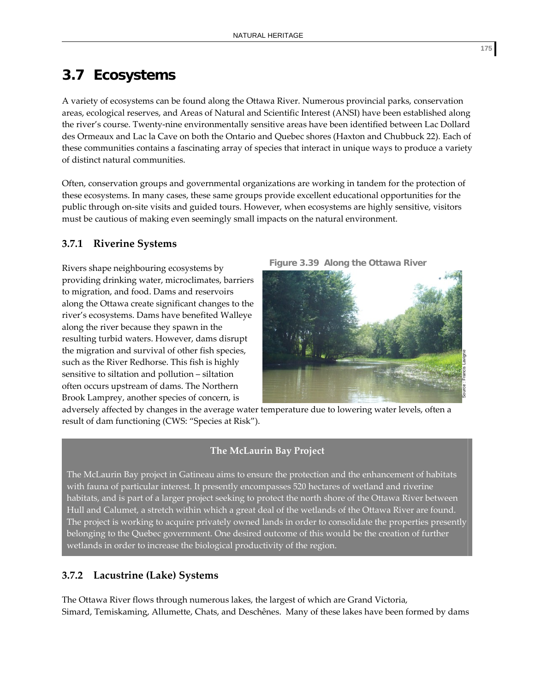# **3.7 Ecosystems**

A variety of ecosystems can be found along the Ottawa River. Numerous provincial parks, conservation areas, ecological reserves, and Areas of Natural and Scientific Interest (ANSI) have been established along the river's course. Twenty‐nine environmentally sensitive areas have been identified between Lac Dollard des Ormeaux and Lac la Cave on both the Ontario and Quebec shores (Haxton and Chubbuck 22). Each of these communities contains a fascinating array of species that interact in unique ways to produce a variety of distinct natural communities.

Often, conservation groups and governmental organizations are working in tandem for the protection of these ecosystems. In many cases, these same groups provide excellent educational opportunities for the public through on‐site visits and guided tours. However, when ecosystems are highly sensitive, visitors must be cautious of making even seemingly small impacts on the natural environment.

# **3.7.1 Riverine Systems**

Rivers shape neighbouring ecosystems by providing drinking water, microclimates, barriers to migration, and food. Dams and reservoirs along the Ottawa create significant changes to the river's ecosystems. Dams have benefited Walleye along the river because they spawn in the resulting turbid waters. However, dams disrupt the migration and survival of other fish species, such as the River Redhorse. This fish is highly sensitive to siltation and pollution – siltation often occurs upstream of dams. The Northern Brook Lamprey, another species of concern, is



adversely affected by changes in the average water temperature due to lowering water levels, often a result of dam functioning (CWS: "Species at Risk").

# **The McLaurin Bay Project**

The McLaurin Bay project in Gatineau aims to ensure the protection and the enhancement of habitats with fauna of particular interest. It presently encompasses 520 hectares of wetland and riverine habitats, and is part of a larger project seeking to protect the north shore of the Ottawa River between Hull and Calumet, a stretch within which a great deal of the wetlands of the Ottawa River are found. The project is working to acquire privately owned lands in order to consolidate the properties presently belonging to the Quebec government. One desired outcome of this would be the creation of further wetlands in order to increase the biological productivity of the region.

# **3.7.2 Lacustrine (Lake) Systems**

The Ottawa River flows through numerous lakes, the largest of which are Grand Victoria, Simard, Temiskaming, Allumette, Chats, and Deschênes. Many of these lakes have been formed by dams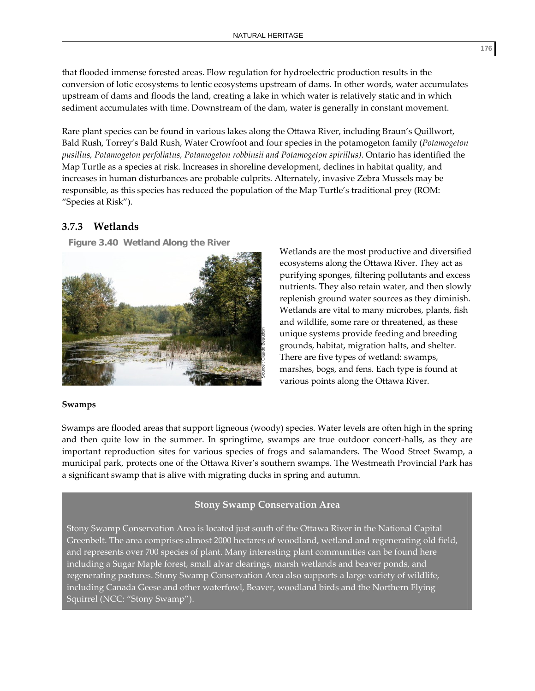that flooded immense forested areas. Flow regulation for hydroelectric production results in the conversion of lotic ecosystems to lentic ecosystems upstream of dams. In other words, water accumulates upstream of dams and floods the land, creating a lake in which water is relatively static and in which sediment accumulates with time. Downstream of the dam, water is generally in constant movement.

Rare plant species can be found in various lakes along the Ottawa River, including Braun's Quillwort, Bald Rush, Torrey's Bald Rush, Water Crowfoot and four species in the potamogeton family (*Potamogeton pusillus, Potamogeton perfoliatus, Potamogeton robbinsii and Potamogeton spirillus)*. Ontario has identified the Map Turtle as a species at risk. Increases in shoreline development, declines in habitat quality, and increases in human disturbances are probable culprits. Alternately, invasive Zebra Mussels may be responsible, as this species has reduced the population of the Map Turtle's traditional prey (ROM: "Species at Risk").

# **3.7.3 Wetlands**

**Figure 3.40 Wetland Along the River**



# Wetlands are the most productive and diversified ecosystems along the Ottawa River. They act as purifying sponges, filtering pollutants and excess nutrients. They also retain water, and then slowly replenish ground water sources as they diminish. Wetlands are vital to many microbes, plants, fish and wildlife, some rare or threatened, as these unique systems provide feeding and breeding grounds, habitat, migration halts, and shelter. There are five types of wetland: swamps, marshes, bogs, and fens. Each type is found at various points along the Ottawa River.

#### **Swamps**

Swamps are flooded areas that support ligneous (woody) species. Water levels are often high in the spring and then quite low in the summer. In springtime, swamps are true outdoor concert-halls, as they are important reproduction sites for various species of frogs and salamanders. The Wood Street Swamp, a municipal park, protects one of the Ottawa River's southern swamps. The Westmeath Provincial Park has a significant swamp that is alive with migrating ducks in spring and autumn.

# **Stony Swamp Conservation Area**

Stony Swamp Conservation Area is located just south of the Ottawa River in the National Capital Greenbelt. The area comprises almost 2000 hectares of woodland, wetland and regenerating old field, and represents over 700 species of plant. Many interesting plant communities can be found here including a Sugar Maple forest, small alvar clearings, marsh wetlands and beaver ponds, and regenerating pastures. Stony Swamp Conservation Area also supports a large variety of wildlife, including Canada Geese and other waterfowl, Beaver, woodland birds and the Northern Flying Squirrel (NCC: "Stony Swamp").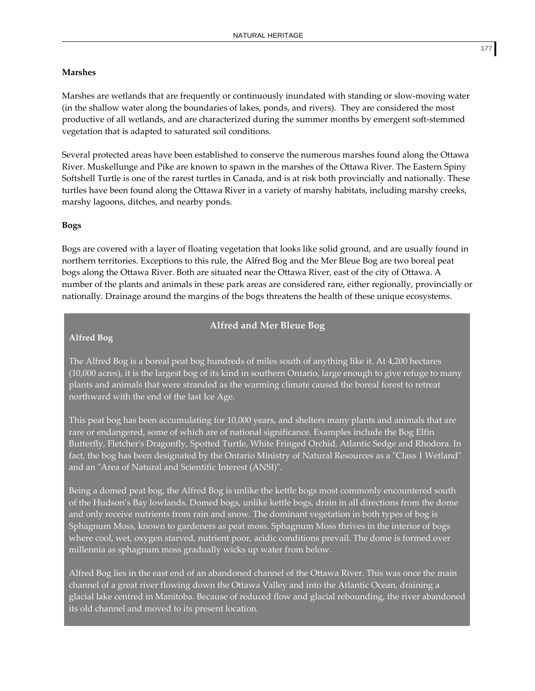#### **Marshes**

Marshes are wetlands that are frequently or continuously inundated with standing or slow‐moving water (in the shallow water along the boundaries of lakes, ponds, and rivers). They are considered the most productive of all wetlands, and are characterized during the summer months by emergent soft‐stemmed vegetation that is adapted to saturated soil conditions.

Several protected areas have been established to conserve the numerous marshes found along the Ottawa River. Muskellunge and Pike are known to spawn in the marshes of the Ottawa River. The Eastern Spiny Softshell Turtle is one of the rarest turtles in Canada, and is at risk both provincially and nationally. These turtles have been found along the Ottawa River in a variety of marshy habitats, including marshy creeks, marshy lagoons, ditches, and nearby ponds.

#### **Bogs**

Bogs are covered with a layer of floating vegetation that looks like solid ground, and are usually found in northern territories. Exceptions to this rule, the Alfred Bog and the Mer Bleue Bog are two boreal peat bogs along the Ottawa River. Both are situated near the Ottawa River, east of the city of Ottawa. A number of the plants and animals in these park areas are considered rare, either regionally, provincially or nationally. Drainage around the margins of the bogs threatens the health of these unique ecosystems.

## **Alfred and Mer Bleue Bog**

#### **Alfred Bog**

The Alfred Bog is a boreal peat bog hundreds of miles south of anything like it. At 4,200 hectares (10,000 acres), it is the largest bog of its kind in southern Ontario, large enough to give refuge to many plants and animals that were stranded as the warming climate caused the boreal forest to retreat northward with the end of the last Ice Age.

This peat bog has been accumulating for 10,000 years, and shelters many plants and animals that are rare or endangered, some of which are of national significance. Examples include the Bog Elfin Butterfly, Fletcherʹs Dragonfly, Spotted Turtle, White Fringed Orchid, Atlantic Sedge and Rhodora. In fact, the bog has been designated by the Ontario Ministry of Natural Resources as a "Class 1 Wetland" and an "Area of Natural and Scientific Interest (ANSI)".

Being a domed peat bog, the Alfred Bog is unlike the kettle bogs most commonly encountered south of the Hudson's Bay lowlands. Domed bogs, unlike kettle bogs, drain in all directions from the dome and only receive nutrients from rain and snow. The dominant vegetation in both types of bog is Sphagnum Moss, known to gardeners as peat moss. Sphagnum Moss thrives in the interior of bogs where cool, wet, oxygen starved, nutrient poor, acidic conditions prevail. The dome is formed over millennia as sphagnum moss gradually wicks up water from below.

Alfred Bog lies in the east end of an abandoned channel of the Ottawa River. This was once the main channel of a great river flowing down the Ottawa Valley and into the Atlantic Ocean, draining a glacial lake centred in Manitoba. Because of reduced flow and glacial rebounding, the river abandoned its old channel and moved to its present location.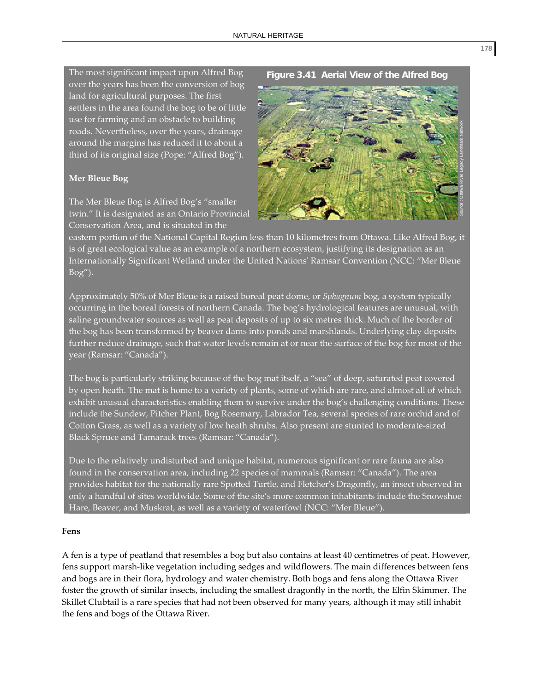The most significant impact upon Alfred Bog over the years has been the conversion of bog land for agricultural purposes. The first settlers in the area found the bog to be of little use for farming and an obstacle to building roads. Nevertheless, over the years, drainage around the margins has reduced it to about a third of its original size (Pope: "Alfred Bog").

#### **Mer Bleue Bog**

The Mer Bleue Bog is Alfred Bog's "smaller twin." It is designated as an Ontario Provincial Conservation Area, and is situated in the

#### **Figure 3.41 Aerial View of the Alfred Bog**



eastern portion of the National Capital Region less than 10 kilometres from Ottawa. Like Alfred Bog, it is of great ecological value as an example of a northern ecosystem, justifying its designation as an Internationally Significant Wetland under the United Nationsʹ Ramsar Convention (NCC: "Mer Bleue Bog").

Approximately 50% of Mer Bleue is a raised boreal peat dome, or *Sphagnum* bog, a system typically occurring in the boreal forests of northern Canada. The bog's hydrological features are unusual, with saline groundwater sources as well as peat deposits of up to six metres thick. Much of the border of the bog has been transformed by beaver dams into ponds and marshlands. Underlying clay deposits further reduce drainage, such that water levels remain at or near the surface of the bog for most of the year (Ramsar: "Canada").

The bog is particularly striking because of the bog mat itself, a "sea" of deep, saturated peat covered by open heath. The mat is home to a variety of plants, some of which are rare, and almost all of which exhibit unusual characteristics enabling them to survive under the bog's challenging conditions. These include the Sundew, Pitcher Plant, Bog Rosemary, Labrador Tea, several species of rare orchid and of Cotton Grass, as well as a variety of low heath shrubs. Also present are stunted to moderate‐sized Black Spruce and Tamarack trees (Ramsar: "Canada").

Due to the relatively undisturbed and unique habitat, numerous significant or rare fauna are also found in the conservation area, including 22 species of mammals (Ramsar: "Canada"). The area provides habitat for the nationally rare Spotted Turtle, and Fletcherʹs Dragonfly, an insect observed in only a handful of sites worldwide. Some of the site's more common inhabitants include the Snowshoe Hare, Beaver, and Muskrat, as well as a variety of waterfowl (NCC: "Mer Bleue").

#### **Fens**

A fen is a type of peatland that resembles a bog but also contains at least 40 centimetres of peat. However, fens support marsh‐like vegetation including sedges and wildflowers. The main differences between fens and bogs are in their flora, hydrology and water chemistry. Both bogs and fens along the Ottawa River foster the growth of similar insects, including the smallest dragonfly in the north, the Elfin Skimmer. The Skillet Clubtail is a rare species that had not been observed for many years, although it may still inhabit the fens and bogs of the Ottawa River.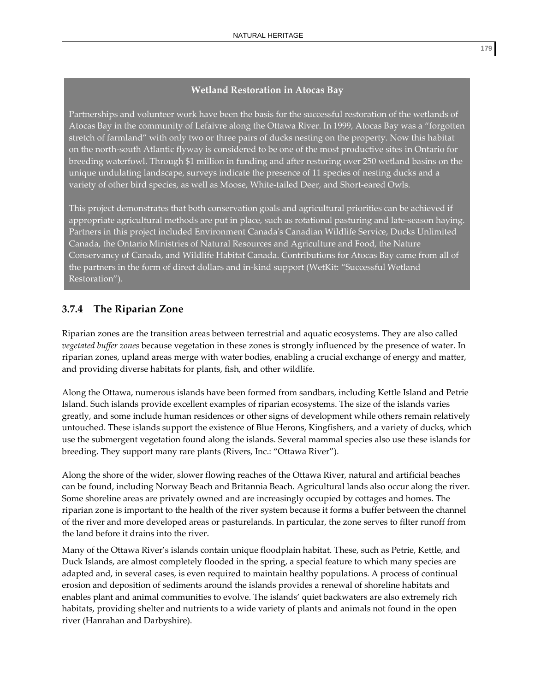#### **Wetland Restoration in Atocas Bay**

Partnerships and volunteer work have been the basis for the successful restoration of the wetlands of Atocas Bay in the community of Lefaivre along the Ottawa River. In 1999, Atocas Bay was a "forgotten stretch of farmland" with only two or three pairs of ducks nesting on the property. Now this habitat on the north‐south Atlantic flyway is considered to be one of the most productive sites in Ontario for breeding waterfowl. Through \$1 million in funding and after restoring over 250 wetland basins on the unique undulating landscape, surveys indicate the presence of 11 species of nesting ducks and a variety of other bird species, as well as Moose, White‐tailed Deer, and Short‐eared Owls.

This project demonstrates that both conservation goals and agricultural priorities can be achieved if appropriate agricultural methods are put in place, such as rotational pasturing and late‐season haying. Partners in this project included Environment Canadaʹs Canadian Wildlife Service, Ducks Unlimited Canada, the Ontario Ministries of Natural Resources and Agriculture and Food, the Nature Conservancy of Canada, and Wildlife Habitat Canada. Contributions for Atocas Bay came from all of the partners in the form of direct dollars and in‐kind support (WetKit: "Successful Wetland Restoration").

# **3.7.4 The Riparian Zone**

Riparian zones are the transition areas between terrestrial and aquatic ecosystems. They are also called *vegetated buffer zones* because vegetation in these zones is strongly influenced by the presence of water. In riparian zones, upland areas merge with water bodies, enabling a crucial exchange of energy and matter, and providing diverse habitats for plants, fish, and other wildlife.

Along the Ottawa, numerous islands have been formed from sandbars, including Kettle Island and Petrie Island. Such islands provide excellent examples of riparian ecosystems. The size of the islands varies greatly, and some include human residences or other signs of development while others remain relatively untouched. These islands support the existence of Blue Herons, Kingfishers, and a variety of ducks, which use the submergent vegetation found along the islands. Several mammal species also use these islands for breeding. They support many rare plants (Rivers, Inc.: "Ottawa River").

Along the shore of the wider, slower flowing reaches of the Ottawa River, natural and artificial beaches can be found, including Norway Beach and Britannia Beach. Agricultural lands also occur along the river. Some shoreline areas are privately owned and are increasingly occupied by cottages and homes. The riparian zone is important to the health of the river system because it forms a buffer between the channel of the river and more developed areas or pasturelands. In particular, the zone serves to filter runoff from the land before it drains into the river.

Many of the Ottawa River's islands contain unique floodplain habitat. These, such as Petrie, Kettle, and Duck Islands, are almost completely flooded in the spring, a special feature to which many species are adapted and, in several cases, is even required to maintain healthy populations. A process of continual erosion and deposition of sediments around the islands provides a renewal of shoreline habitats and enables plant and animal communities to evolve. The islands' quiet backwaters are also extremely rich habitats, providing shelter and nutrients to a wide variety of plants and animals not found in the open river (Hanrahan and Darbyshire).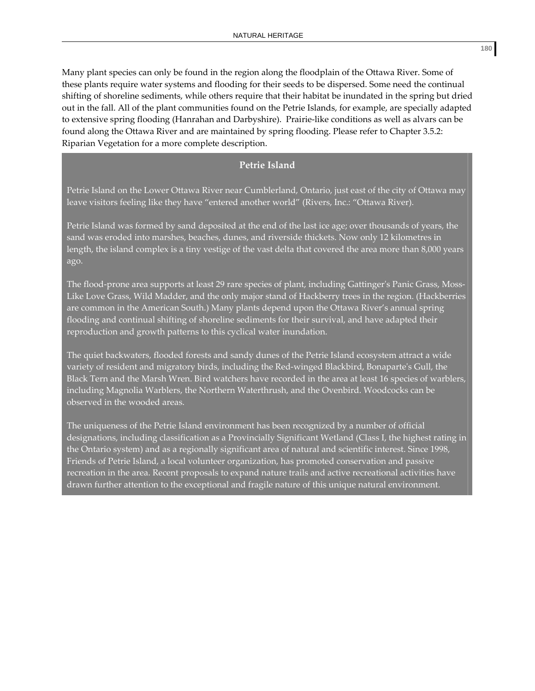Many plant species can only be found in the region along the floodplain of the Ottawa River. Some of these plants require water systems and flooding for their seeds to be dispersed. Some need the continual shifting of shoreline sediments, while others require that their habitat be inundated in the spring but dried out in the fall. All of the plant communities found on the Petrie Islands, for example, are specially adapted to extensive spring flooding (Hanrahan and Darbyshire). Prairie‐like conditions as well as alvars can be found along the Ottawa River and are maintained by spring flooding. Please refer to Chapter 3.5.2: Riparian Vegetation for a more complete description.

## **Petrie Island**

Petrie Island on the Lower Ottawa River near Cumblerland, Ontario, just east of the city of Ottawa may leave visitors feeling like they have "entered another world" (Rivers, Inc.: "Ottawa River).

Petrie Island was formed by sand deposited at the end of the last ice age; over thousands of years, the sand was eroded into marshes, beaches, dunes, and riverside thickets. Now only 12 kilometres in length, the island complex is a tiny vestige of the vast delta that covered the area more than 8,000 years ago.

The flood-prone area supports at least 29 rare species of plant, including Gattinger's Panic Grass, Moss-Like Love Grass, Wild Madder, and the only major stand of Hackberry trees in the region. (Hackberries are common in the American South.) Many plants depend upon the Ottawa River's annual spring flooding and continual shifting of shoreline sediments for their survival, and have adapted their reproduction and growth patterns to this cyclical water inundation.

The quiet backwaters, flooded forests and sandy dunes of the Petrie Island ecosystem attract a wide variety of resident and migratory birds, including the Red‐winged Blackbird, Bonaparteʹs Gull, the Black Tern and the Marsh Wren. Bird watchers have recorded in the area at least 16 species of warblers, including Magnolia Warblers, the Northern Waterthrush, and the Ovenbird. Woodcocks can be observed in the wooded areas.

The uniqueness of the Petrie Island environment has been recognized by a number of official designations, including classification as a Provincially Significant Wetland (Class I, the highest rating in the Ontario system) and as a regionally significant area of natural and scientific interest. Since 1998, Friends of Petrie Island, a local volunteer organization, has promoted conservation and passive recreation in the area. Recent proposals to expand nature trails and active recreational activities have drawn further attention to the exceptional and fragile nature of this unique natural environment.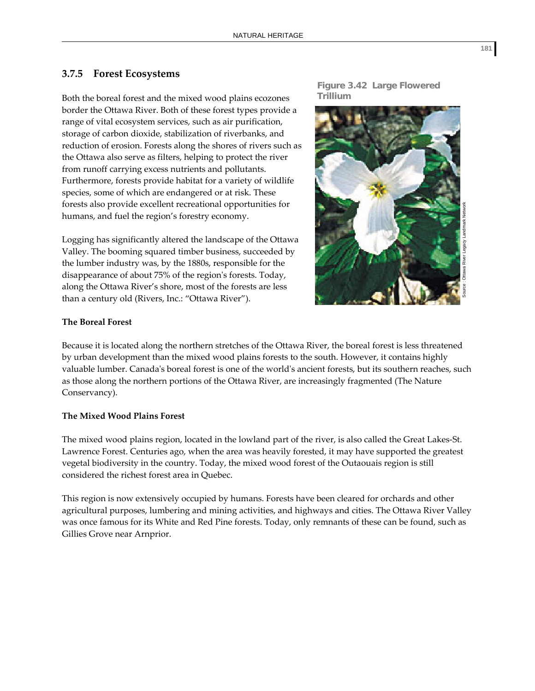## **3.7.5 Forest Ecosystems**

Both the boreal forest and the mixed wood plains ecozones border the Ottawa River. Both of these forest types provide a range of vital ecosystem services, such as air purification, storage of carbon dioxide, stabilization of riverbanks, and reduction of erosion. Forests along the shores of rivers such as the Ottawa also serve as filters, helping to protect the river from runoff carrying excess nutrients and pollutants. Furthermore, forests provide habitat for a variety of wildlife species, some of which are endangered or at risk. These forests also provide excellent recreational opportunities for humans, and fuel the region's forestry economy.

Logging has significantly altered the landscape of the Ottawa Valley. The booming squared timber business, succeeded by the lumber industry was, by the 1880s, responsible for the disappearance of about 75% of the regionʹs forests. Today, along the Ottawa River's shore, most of the forests are less than a century old (Rivers, Inc.: "Ottawa River").





## **The Boreal Forest**

Because it is located along the northern stretches of the Ottawa River, the boreal forest is less threatened by urban development than the mixed wood plains forests to the south. However, it contains highly valuable lumber. Canadaʹs boreal forest is one of the worldʹs ancient forests, but its southern reaches, such as those along the northern portions of the Ottawa River, are increasingly fragmented (The Nature Conservancy).

#### **The Mixed Wood Plains Forest**

The mixed wood plains region, located in the lowland part of the river, is also called the Great Lakes‐St. Lawrence Forest. Centuries ago, when the area was heavily forested, it may have supported the greatest vegetal biodiversity in the country. Today, the mixed wood forest of the Outaouais region is still considered the richest forest area in Quebec.

This region is now extensively occupied by humans. Forests have been cleared for orchards and other agricultural purposes, lumbering and mining activities, and highways and cities. The Ottawa River Valley was once famous for its White and Red Pine forests. Today, only remnants of these can be found, such as Gillies Grove near Arnprior.